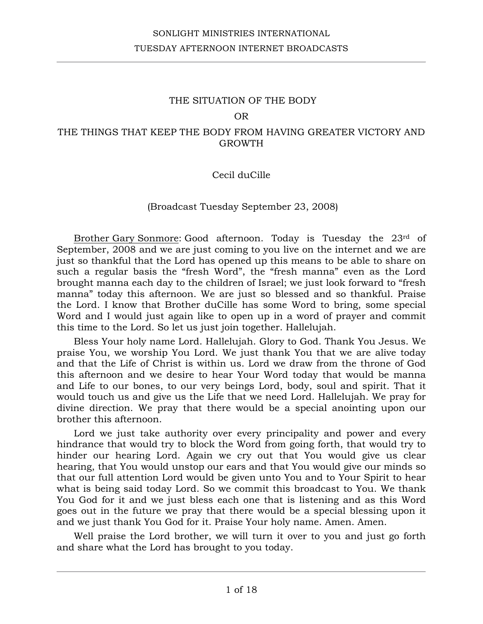### OR

## THE THINGS THAT KEEP THE BODY FROM HAVING GREATER VICTORY AND GROWTH

## Cecil duCille

## (Broadcast Tuesday September 23, 2008)

Brother Gary Sonmore: Good afternoon. Today is Tuesday the 23rd of September, 2008 and we are just coming to you live on the internet and we are just so thankful that the Lord has opened up this means to be able to share on such a regular basis the "fresh Word", the "fresh manna" even as the Lord brought manna each day to the children of Israel; we just look forward to "fresh manna" today this afternoon. We are just so blessed and so thankful. Praise the Lord. I know that Brother duCille has some Word to bring, some special Word and I would just again like to open up in a word of prayer and commit this time to the Lord. So let us just join together. Hallelujah.

Bless Your holy name Lord. Hallelujah. Glory to God. Thank You Jesus. We praise You, we worship You Lord. We just thank You that we are alive today and that the Life of Christ is within us. Lord we draw from the throne of God this afternoon and we desire to hear Your Word today that would be manna and Life to our bones, to our very beings Lord, body, soul and spirit. That it would touch us and give us the Life that we need Lord. Hallelujah. We pray for divine direction. We pray that there would be a special anointing upon our brother this afternoon.

Lord we just take authority over every principality and power and every hindrance that would try to block the Word from going forth, that would try to hinder our hearing Lord. Again we cry out that You would give us clear hearing, that You would unstop our ears and that You would give our minds so that our full attention Lord would be given unto You and to Your Spirit to hear what is being said today Lord. So we commit this broadcast to You. We thank You God for it and we just bless each one that is listening and as this Word goes out in the future we pray that there would be a special blessing upon it and we just thank You God for it. Praise Your holy name. Amen. Amen.

Well praise the Lord brother, we will turn it over to you and just go forth and share what the Lord has brought to you today.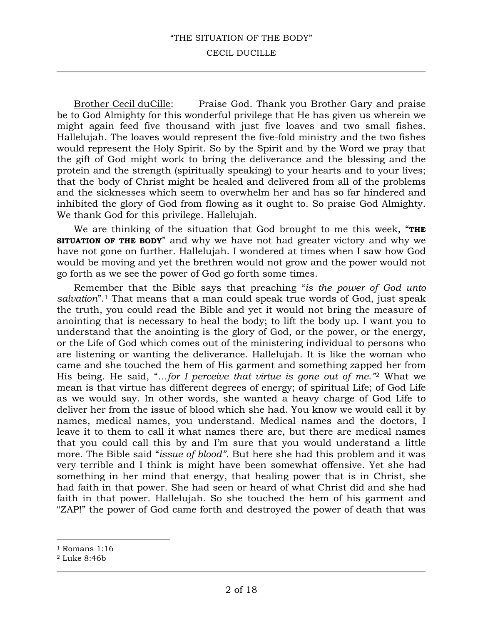#### CECIL DUCILLE

Brother Cecil duCille: Praise God. Thank you Brother Gary and praise be to God Almighty for this wonderful privilege that He has given us wherein we might again feed five thousand with just five loaves and two small fishes. Hallelujah. The loaves would represent the five-fold ministry and the two fishes would represent the Holy Spirit. So by the Spirit and by the Word we pray that the gift of God might work to bring the deliverance and the blessing and the protein and the strength (spiritually speaking) to your hearts and to your lives; that the body of Christ might be healed and delivered from all of the problems and the sicknesses which seem to overwhelm her and has so far hindered and inhibited the glory of God from flowing as it ought to. So praise God Almighty. We thank God for this privilege. Hallelujah.

We are thinking of the situation that God brought to me this week, "**THE SITUATION OF THE BODY**" and why we have not had greater victory and why we have not gone on further. Hallelujah. I wondered at times when I saw how God would be moving and yet the brethren would not grow and the power would not go forth as we see the power of God go forth some times.

Remember that the Bible says that preaching "*is the power of God unto salvation*".1 That means that a man could speak true words of God, just speak the truth, you could read the Bible and yet it would not bring the measure of anointing that is necessary to heal the body; to lift the body up. I want you to understand that the anointing is the glory of God, or the power, or the energy, or the Life of God which comes out of the ministering individual to persons who are listening or wanting the deliverance. Hallelujah. It is like the woman who came and she touched the hem of His garment and something zapped her from His being. He said, "*…for I perceive that virtue is gone out of me."*<sup>2</sup> What we mean is that virtue has different degrees of energy; of spiritual Life; of God Life as we would say. In other words, she wanted a heavy charge of God Life to deliver her from the issue of blood which she had. You know we would call it by names, medical names, you understand. Medical names and the doctors, I leave it to them to call it what names there are, but there are medical names that you could call this by and I'm sure that you would understand a little more. The Bible said "*issue of blood"*. But here she had this problem and it was very terrible and I think is might have been somewhat offensive. Yet she had something in her mind that energy, that healing power that is in Christ, she had faith in that power. She had seen or heard of what Christ did and she had faith in that power. Hallelujah. So she touched the hem of his garment and "ZAP!" the power of God came forth and destroyed the power of death that was

<sup>1</sup> Romans 1:16

<sup>2</sup> Luke 8:46b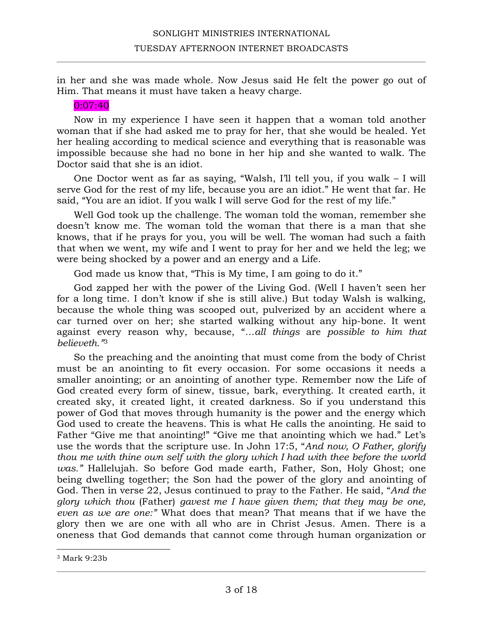in her and she was made whole. Now Jesus said He felt the power go out of Him. That means it must have taken a heavy charge.

# 0:07:40

Now in my experience I have seen it happen that a woman told another woman that if she had asked me to pray for her, that she would be healed. Yet her healing according to medical science and everything that is reasonable was impossible because she had no bone in her hip and she wanted to walk. The Doctor said that she is an idiot.

One Doctor went as far as saying, "Walsh, I'll tell you, if you walk – I will serve God for the rest of my life, because you are an idiot." He went that far. He said, "You are an idiot. If you walk I will serve God for the rest of my life."

Well God took up the challenge. The woman told the woman, remember she doesn't know me. The woman told the woman that there is a man that she knows, that if he prays for you, you will be well. The woman had such a faith that when we went, my wife and I went to pray for her and we held the leg; we were being shocked by a power and an energy and a Life.

God made us know that, "This is My time, I am going to do it."

God zapped her with the power of the Living God. (Well I haven't seen her for a long time. I don't know if she is still alive.) But today Walsh is walking, because the whole thing was scooped out, pulverized by an accident where a car turned over on her; she started walking without any hip-bone. It went against every reason why, because, "*…all things* are *possible to him that believeth."*<sup>3</sup>

So the preaching and the anointing that must come from the body of Christ must be an anointing to fit every occasion. For some occasions it needs a smaller anointing; or an anointing of another type. Remember now the Life of God created every form of sinew, tissue, bark, everything. It created earth, it created sky, it created light, it created darkness. So if you understand this power of God that moves through humanity is the power and the energy which God used to create the heavens. This is what He calls the anointing. He said to Father "Give me that anointing!" "Give me that anointing which we had." Let's use the words that the scripture use. In John 17:5, "*And now, O Father, glorify thou me with thine own self with the glory which I had with thee before the world was."* Hallelujah. So before God made earth, Father, Son, Holy Ghost; one being dwelling together; the Son had the power of the glory and anointing of God. Then in verse 22, Jesus continued to pray to the Father. He said, "*And the glory which thou* (Father) *gavest me I have given them; that they may be one, even as we are one:"* What does that mean? That means that if we have the glory then we are one with all who are in Christ Jesus. Amen. There is a oneness that God demands that cannot come through human organization or

<sup>3</sup> Mark 9:23b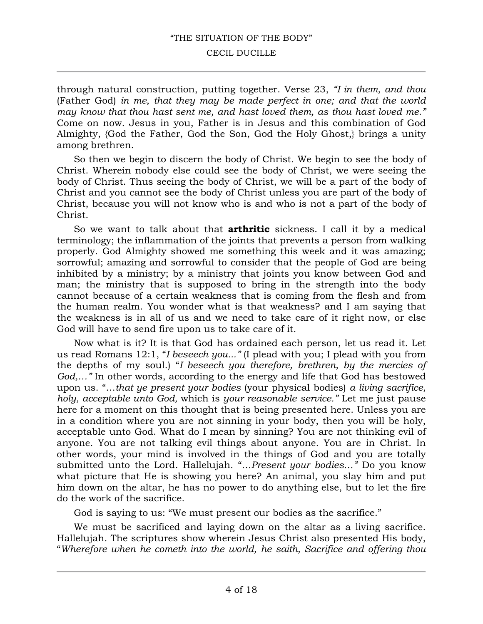#### CECIL DUCILLE

through natural construction, putting together. Verse 23, *"I in them, and thou*  (Father God) *in me, that they may be made perfect in one; and that the world may know that thou hast sent me, and hast loved them, as thou hast loved me."* Come on now. Jesus in you, Father is in Jesus and this combination of God Almighty, {God the Father, God the Son, God the Holy Ghost,} brings a unity among brethren.

So then we begin to discern the body of Christ. We begin to see the body of Christ. Wherein nobody else could see the body of Christ, we were seeing the body of Christ. Thus seeing the body of Christ, we will be a part of the body of Christ and you cannot see the body of Christ unless you are part of the body of Christ, because you will not know who is and who is not a part of the body of Christ.

So we want to talk about that **arthritic** sickness. I call it by a medical terminology; the inflammation of the joints that prevents a person from walking properly. God Almighty showed me something this week and it was amazing; sorrowful; amazing and sorrowful to consider that the people of God are being inhibited by a ministry; by a ministry that joints you know between God and man; the ministry that is supposed to bring in the strength into the body cannot because of a certain weakness that is coming from the flesh and from the human realm. You wonder what is that weakness? and I am saying that the weakness is in all of us and we need to take care of it right now, or else God will have to send fire upon us to take care of it.

Now what is it? It is that God has ordained each person, let us read it. Let us read Romans 12:1, "*I beseech you..."* (I plead with you; I plead with you from the depths of my soul.) "*I beseech you therefore, brethren, by the mercies of God,…"* In other words, according to the energy and life that God has bestowed upon us. "…*that ye present your bodies* (your physical bodies) *a living sacrifice, holy, acceptable unto God,* which is *your reasonable service."* Let me just pause here for a moment on this thought that is being presented here. Unless you are in a condition where you are not sinning in your body, then you will be holy, acceptable unto God. What do I mean by sinning? You are not thinking evil of anyone. You are not talking evil things about anyone. You are in Christ. In other words, your mind is involved in the things of God and you are totally submitted unto the Lord. Hallelujah. "*…Present your bodies…"* Do you know what picture that He is showing you here? An animal, you slay him and put him down on the altar, he has no power to do anything else, but to let the fire do the work of the sacrifice.

God is saying to us: "We must present our bodies as the sacrifice."

We must be sacrificed and laying down on the altar as a living sacrifice. Hallelujah. The scriptures show wherein Jesus Christ also presented His body, "*Wherefore when he cometh into the world, he saith, Sacrifice and offering thou*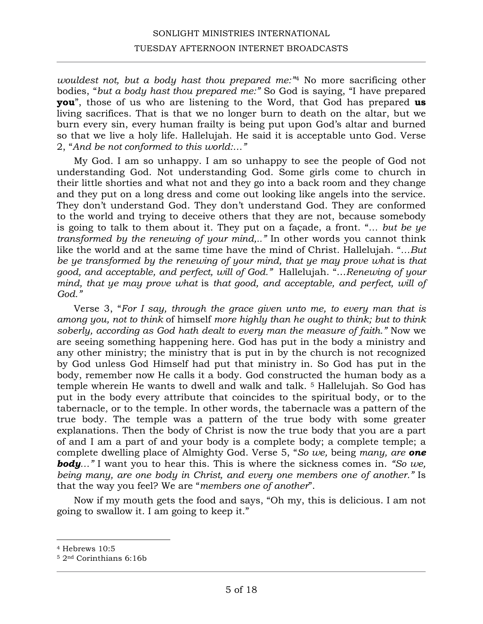# SONLIGHT MINISTRIES INTERNATIONAL TUESDAY AFTERNOON INTERNET BROADCASTS

*wouldest not, but a body hast thou prepared me:"*<sup>4</sup> No more sacrificing other bodies, "*but a body hast thou prepared me:"* So God is saying, "I have prepared **you**", those of us who are listening to the Word, that God has prepared **us** living sacrifices. That is that we no longer burn to death on the altar, but we burn every sin, every human frailty is being put upon God's altar and burned so that we live a holy life. Hallelujah. He said it is acceptable unto God. Verse 2, "*And be not conformed to this world:…"* 

My God. I am so unhappy. I am so unhappy to see the people of God not understanding God. Not understanding God. Some girls come to church in their little shorties and what not and they go into a back room and they change and they put on a long dress and come out looking like angels into the service. They don't understand God. They don't understand God. They are conformed to the world and trying to deceive others that they are not, because somebody is going to talk to them about it. They put on a façade, a front. "*… but be ye transformed by the renewing of your mind,.."* In other words you cannot think like the world and at the same time have the mind of Christ. Hallelujah. "*…But be ye transformed by the renewing of your mind, that ye may prove what is that good, and acceptable, and perfect, will of God."* Hallelujah. "…*Renewing of your mind, that ye may prove what* is *that good, and acceptable, and perfect, will of God."* 

Verse 3, "*For I say, through the grace given unto me, to every man that is among you, not to think* of himself *more highly than he ought to think; but to think soberly, according as God hath dealt to every man the measure of faith."* Now we are seeing something happening here. God has put in the body a ministry and any other ministry; the ministry that is put in by the church is not recognized by God unless God Himself had put that ministry in. So God has put in the body, remember now He calls it a body. God constructed the human body as a temple wherein He wants to dwell and walk and talk.<sup>5</sup> Hallelujah. So God has put in the body every attribute that coincides to the spiritual body, or to the tabernacle, or to the temple. In other words, the tabernacle was a pattern of the true body. The temple was a pattern of the true body with some greater explanations. Then the body of Christ is now the true body that you are a part of and I am a part of and your body is a complete body; a complete temple; a complete dwelling place of Almighty God. Verse 5, "*So we,* being *many, are one body…"* I want you to hear this. This is where the sickness comes in. *"So we, being many, are one body in Christ, and every one members one of another."* Is that the way you feel? We are "*members one of another*".

Now if my mouth gets the food and says, "Oh my, this is delicious. I am not going to swallow it. I am going to keep it."

<sup>4</sup> Hebrews 10:5

<sup>5</sup> 2nd Corinthians 6:16b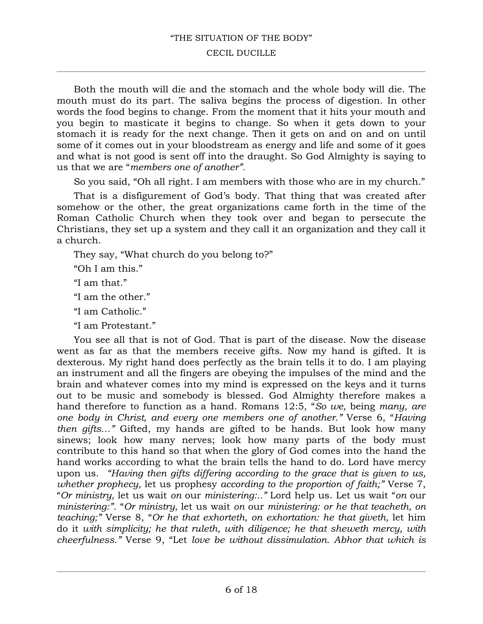#### CECIL DUCILLE

Both the mouth will die and the stomach and the whole body will die. The mouth must do its part. The saliva begins the process of digestion. In other words the food begins to change. From the moment that it hits your mouth and you begin to masticate it begins to change. So when it gets down to your stomach it is ready for the next change. Then it gets on and on and on until some of it comes out in your bloodstream as energy and life and some of it goes and what is not good is sent off into the draught. So God Almighty is saying to us that we are "*members one of another".* 

So you said, "Oh all right. I am members with those who are in my church."

That is a disfigurement of God's body. That thing that was created after somehow or the other, the great organizations came forth in the time of the Roman Catholic Church when they took over and began to persecute the Christians, they set up a system and they call it an organization and they call it a church.

They say, "What church do you belong to?"

"Oh I am this."

"I am that."

"I am the other."

"I am Catholic."

"I am Protestant."

You see all that is not of God. That is part of the disease. Now the disease went as far as that the members receive gifts. Now my hand is gifted. It is dexterous. My right hand does perfectly as the brain tells it to do. I am playing an instrument and all the fingers are obeying the impulses of the mind and the brain and whatever comes into my mind is expressed on the keys and it turns out to be music and somebody is blessed. God Almighty therefore makes a hand therefore to function as a hand. Romans 12:5, "*So we,* being *many, are one body in Christ, and every one members one of another."* Verse 6, "*Having then gifts…"* Gifted, my hands are gifted to be hands. But look how many sinews; look how many nerves; look how many parts of the body must contribute to this hand so that when the glory of God comes into the hand the hand works according to what the brain tells the hand to do. Lord have mercy upon us. *"Having then gifts differing according to the grace that is given to us, whether prophecy,* let us prophesy *according to the proportion of faith;"* Verse 7, "*Or ministry,* let us wait *on* our *ministering:.."* Lord help us. Let us wait "*on* our *ministering:"*. "*Or ministry,* let us wait *on* our *ministering: or he that teacheth, on teaching;"* Verse 8, "*Or he that exhorteth, on exhortation: he that giveth,* let him do it *with simplicity; he that ruleth, with diligence; he that sheweth mercy, with cheerfulness."* Verse 9, "Let *love be without dissimulation. Abhor that which is*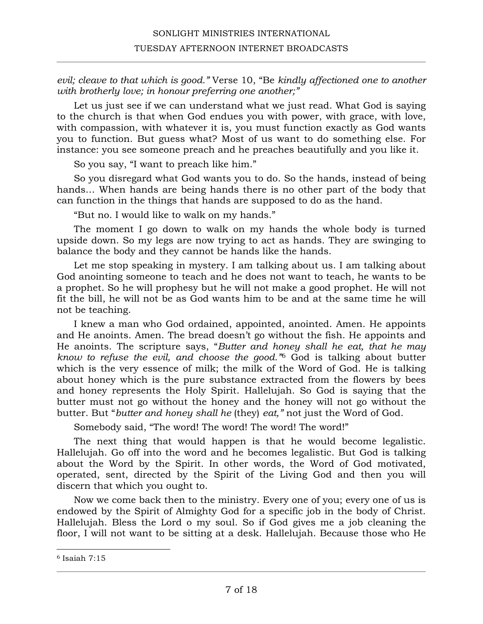*evil; cleave to that which is good."* Verse 10, "Be *kindly affectioned one to another with brotherly love; in honour preferring one another;"*

Let us just see if we can understand what we just read. What God is saying to the church is that when God endues you with power, with grace, with love, with compassion, with whatever it is, you must function exactly as God wants you to function. But guess what? Most of us want to do something else. For instance: you see someone preach and he preaches beautifully and you like it.

So you say, "I want to preach like him."

So you disregard what God wants you to do. So the hands, instead of being hands… When hands are being hands there is no other part of the body that can function in the things that hands are supposed to do as the hand.

"But no. I would like to walk on my hands."

The moment I go down to walk on my hands the whole body is turned upside down. So my legs are now trying to act as hands. They are swinging to balance the body and they cannot be hands like the hands.

Let me stop speaking in mystery. I am talking about us. I am talking about God anointing someone to teach and he does not want to teach, he wants to be a prophet. So he will prophesy but he will not make a good prophet. He will not fit the bill, he will not be as God wants him to be and at the same time he will not be teaching.

I knew a man who God ordained, appointed, anointed. Amen. He appoints and He anoints. Amen. The bread doesn't go without the fish. He appoints and He anoints. The scripture says, "*Butter and honey shall he eat, that he may know to refuse the evil, and choose the good."*<sup>6</sup> God is talking about butter which is the very essence of milk; the milk of the Word of God. He is talking about honey which is the pure substance extracted from the flowers by bees and honey represents the Holy Spirit. Hallelujah. So God is saying that the butter must not go without the honey and the honey will not go without the butter. But "*butter and honey shall he* (they) *eat,"* not just the Word of God.

Somebody said, "The word! The word! The word! The word!"

The next thing that would happen is that he would become legalistic. Hallelujah. Go off into the word and he becomes legalistic. But God is talking about the Word by the Spirit. In other words, the Word of God motivated, operated, sent, directed by the Spirit of the Living God and then you will discern that which you ought to.

Now we come back then to the ministry. Every one of you; every one of us is endowed by the Spirit of Almighty God for a specific job in the body of Christ. Hallelujah. Bless the Lord o my soul. So if God gives me a job cleaning the floor, I will not want to be sitting at a desk. Hallelujah. Because those who He

<sup>6</sup> Isaiah 7:15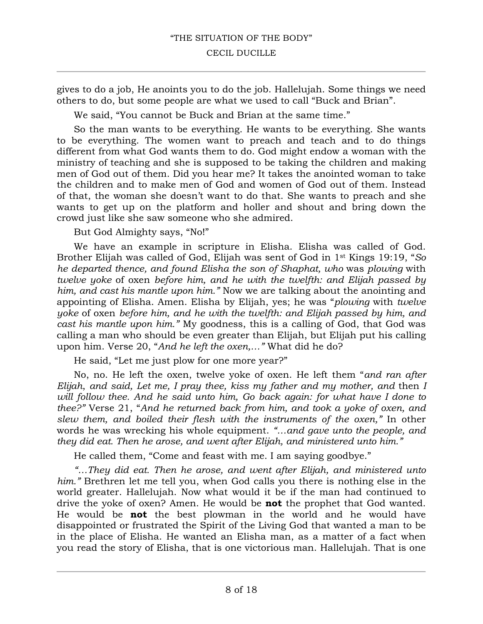gives to do a job, He anoints you to do the job. Hallelujah. Some things we need others to do, but some people are what we used to call "Buck and Brian".

We said, "You cannot be Buck and Brian at the same time."

So the man wants to be everything. He wants to be everything. She wants to be everything. The women want to preach and teach and to do things different from what God wants them to do. God might endow a woman with the ministry of teaching and she is supposed to be taking the children and making men of God out of them. Did you hear me? It takes the anointed woman to take the children and to make men of God and women of God out of them. Instead of that, the woman she doesn't want to do that. She wants to preach and she wants to get up on the platform and holler and shout and bring down the crowd just like she saw someone who she admired.

But God Almighty says, "No!"

We have an example in scripture in Elisha. Elisha was called of God. Brother Elijah was called of God, Elijah was sent of God in 1st Kings 19:19, "*So he departed thence, and found Elisha the son of Shaphat, who* was *plowing* with *twelve yoke* of oxen *before him, and he with the twelfth: and Elijah passed by him, and cast his mantle upon him."* Now we are talking about the anointing and appointing of Elisha. Amen. Elisha by Elijah, yes; he was "*plowing* with *twelve yoke* of oxen *before him, and he with the twelfth: and Elijah passed by him, and cast his mantle upon him."* My goodness, this is a calling of God, that God was calling a man who should be even greater than Elijah, but Elijah put his calling upon him. Verse 20, "*And he left the oxen,…"* What did he do?

He said, "Let me just plow for one more year?"

No, no. He left the oxen, twelve yoke of oxen. He left them "*and ran after Elijah*, *and said, Let me, I pray thee, kiss my father and my mother, and* then *I*  will follow thee. And he said unto him, Go back again: for what have I done to *thee?"* Verse 21, "*And he returned back from him, and took a yoke of oxen, and slew them, and boiled their flesh with the instruments of the oxen,"* In other words he was wrecking his whole equipment. *"…and gave unto the people, and they did eat. Then he arose, and went after Elijah, and ministered unto him."*

He called them, "Come and feast with me. I am saying goodbye."

*"…They did eat. Then he arose, and went after Elijah, and ministered unto him."* Brethren let me tell you, when God calls you there is nothing else in the world greater. Hallelujah. Now what would it be if the man had continued to drive the yoke of oxen? Amen. He would be **not** the prophet that God wanted. He would be **not** the best plowman in the world and he would have disappointed or frustrated the Spirit of the Living God that wanted a man to be in the place of Elisha. He wanted an Elisha man, as a matter of a fact when you read the story of Elisha, that is one victorious man. Hallelujah. That is one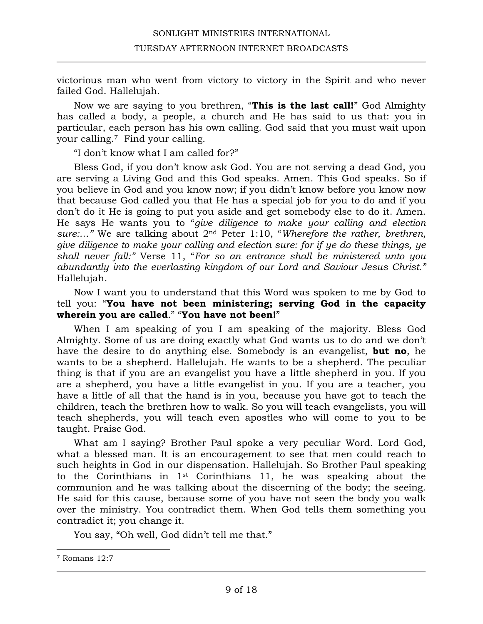victorious man who went from victory to victory in the Spirit and who never failed God. Hallelujah.

Now we are saying to you brethren, "**This is the last call!**" God Almighty has called a body, a people, a church and He has said to us that: you in particular, each person has his own calling. God said that you must wait upon your calling.7 Find your calling.

"I don't know what I am called for?"

Bless God, if you don't know ask God. You are not serving a dead God, you are serving a Living God and this God speaks. Amen. This God speaks. So if you believe in God and you know now; if you didn't know before you know now that because God called you that He has a special job for you to do and if you don't do it He is going to put you aside and get somebody else to do it. Amen. He says He wants you to "*give diligence to make your calling and election sure:…"* We are talking about 2nd Peter 1:10, "*Wherefore the rather, brethren, give diligence to make your calling and election sure: for if ye do these things, ye shall never fall:"* Verse 11, "*For so an entrance shall be ministered unto you abundantly into the everlasting kingdom of our Lord and Saviour Jesus Christ."* Hallelujah.

Now I want you to understand that this Word was spoken to me by God to tell you: "**You have not been ministering; serving God in the capacity wherein you are called**." "**You have not been!**"

When I am speaking of you I am speaking of the majority. Bless God Almighty. Some of us are doing exactly what God wants us to do and we don't have the desire to do anything else. Somebody is an evangelist, **but no**, he wants to be a shepherd. Hallelujah. He wants to be a shepherd. The peculiar thing is that if you are an evangelist you have a little shepherd in you. If you are a shepherd, you have a little evangelist in you. If you are a teacher, you have a little of all that the hand is in you, because you have got to teach the children, teach the brethren how to walk. So you will teach evangelists, you will teach shepherds, you will teach even apostles who will come to you to be taught. Praise God.

What am I saying? Brother Paul spoke a very peculiar Word. Lord God, what a blessed man. It is an encouragement to see that men could reach to such heights in God in our dispensation. Hallelujah. So Brother Paul speaking to the Corinthians in 1st Corinthians 11, he was speaking about the communion and he was talking about the discerning of the body; the seeing. He said for this cause, because some of you have not seen the body you walk over the ministry. You contradict them. When God tells them something you contradict it; you change it.

You say, "Oh well, God didn't tell me that."

<sup>7</sup> Romans 12:7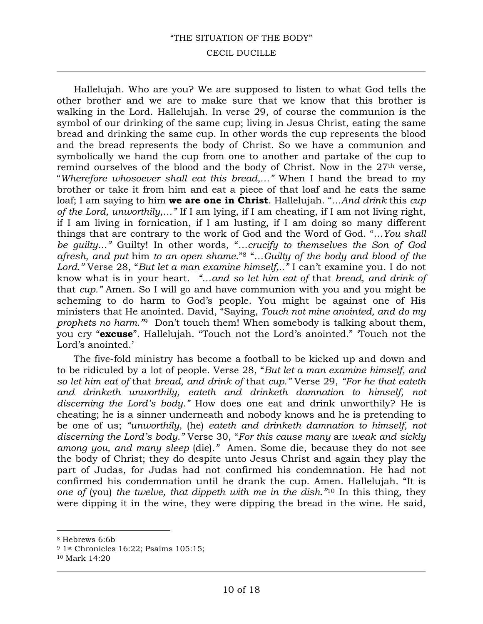#### CECIL DUCILLE

Hallelujah. Who are you? We are supposed to listen to what God tells the other brother and we are to make sure that we know that this brother is walking in the Lord. Hallelujah. In verse 29, of course the communion is the symbol of our drinking of the same cup; living in Jesus Christ, eating the same bread and drinking the same cup. In other words the cup represents the blood and the bread represents the body of Christ. So we have a communion and symbolically we hand the cup from one to another and partake of the cup to remind ourselves of the blood and the body of Christ. Now in the 27th verse, "*Wherefore whosoever shall eat this bread,…"* When I hand the bread to my brother or take it from him and eat a piece of that loaf and he eats the same loaf; I am saying to him **we are one in Christ**. Hallelujah. "*…And drink* this *cup of the Lord, unworthily,…"* If I am lying, if I am cheating, if I am not living right, if I am living in fornication, if I am lusting, if I am doing so many different things that are contrary to the work of God and the Word of God. "*…You shall be guilty…"* Guilty! In other words, "*…crucify to themselves the Son of God afresh, and put* him *to an open shame*."8 "*…Guilty of the body and blood of the Lord."* Verse 28, "*But let a man examine himself,.."* I can't examine you. I do not know what is in your heart. *"…and so let him eat of* that *bread, and drink of*  that *cup."* Amen. So I will go and have communion with you and you might be scheming to do harm to God's people. You might be against one of His ministers that He anointed. David, "Saying, *Touch not mine anointed, and do my prophets no harm."*9 Don't touch them! When somebody is talking about them, you cry "**excuse**". Hallelujah. "Touch not the Lord's anointed." 'Touch not the Lord's anointed.'

The five-fold ministry has become a football to be kicked up and down and to be ridiculed by a lot of people. Verse 28, "*But let a man examine himself, and so let him eat of* that *bread, and drink of* that *cup."* Verse 29, *"For he that eateth and drinketh unworthily, eateth and drinketh damnation to himself, not discerning the Lord's body."* How does one eat and drink unworthily? He is cheating; he is a sinner underneath and nobody knows and he is pretending to be one of us; *"unworthily,* (he) *eateth and drinketh damnation to himself, not discerning the Lord's body."* Verse 30, "*For this cause many* are *weak and sickly among you, and many sleep* (die)*."* Amen. Some die, because they do not see the body of Christ; they do despite unto Jesus Christ and again they play the part of Judas, for Judas had not confirmed his condemnation. He had not confirmed his condemnation until he drank the cup. Amen. Hallelujah. "It is *one of* (you) *the twelve, that dippeth with me in the dish."*<sup>10</sup> In this thing, they were dipping it in the wine, they were dipping the bread in the wine. He said,

<sup>8</sup> Hebrews 6:6b

<sup>9</sup> 1st Chronicles 16:22; Psalms 105:15;

<sup>10</sup> Mark 14:20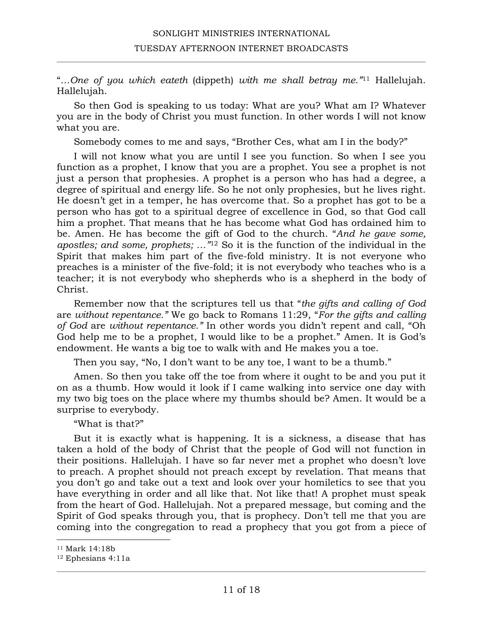"*…One of you which eateth* (dippeth) *with me shall betray me."*<sup>11</sup> Hallelujah. Hallelujah.

So then God is speaking to us today: What are you? What am I? Whatever you are in the body of Christ you must function. In other words I will not know what you are.

Somebody comes to me and says, "Brother Ces, what am I in the body?"

I will not know what you are until I see you function. So when I see you function as a prophet, I know that you are a prophet. You see a prophet is not just a person that prophesies. A prophet is a person who has had a degree, a degree of spiritual and energy life. So he not only prophesies, but he lives right. He doesn't get in a temper, he has overcome that. So a prophet has got to be a person who has got to a spiritual degree of excellence in God, so that God call him a prophet. That means that he has become what God has ordained him to be. Amen. He has become the gift of God to the church. "*And he gave some, apostles; and some, prophets; …"*<sup>12</sup> So it is the function of the individual in the Spirit that makes him part of the five-fold ministry. It is not everyone who preaches is a minister of the five-fold; it is not everybody who teaches who is a teacher; it is not everybody who shepherds who is a shepherd in the body of Christ.

Remember now that the scriptures tell us that "*the gifts and calling of God*  are *without repentance."* We go back to Romans 11:29, "*For the gifts and calling of God* are *without repentance."* In other words you didn't repent and call, "Oh God help me to be a prophet, I would like to be a prophet." Amen. It is God's endowment. He wants a big toe to walk with and He makes you a toe.

Then you say, "No, I don't want to be any toe, I want to be a thumb."

Amen. So then you take off the toe from where it ought to be and you put it on as a thumb. How would it look if I came walking into service one day with my two big toes on the place where my thumbs should be? Amen. It would be a surprise to everybody.

"What is that?"

But it is exactly what is happening. It is a sickness, a disease that has taken a hold of the body of Christ that the people of God will not function in their positions. Hallelujah. I have so far never met a prophet who doesn't love to preach. A prophet should not preach except by revelation. That means that you don't go and take out a text and look over your homiletics to see that you have everything in order and all like that. Not like that! A prophet must speak from the heart of God. Hallelujah. Not a prepared message, but coming and the Spirit of God speaks through you, that is prophecy. Don't tell me that you are coming into the congregation to read a prophecy that you got from a piece of

<sup>11</sup> Mark 14:18b

<sup>12</sup> Ephesians 4:11a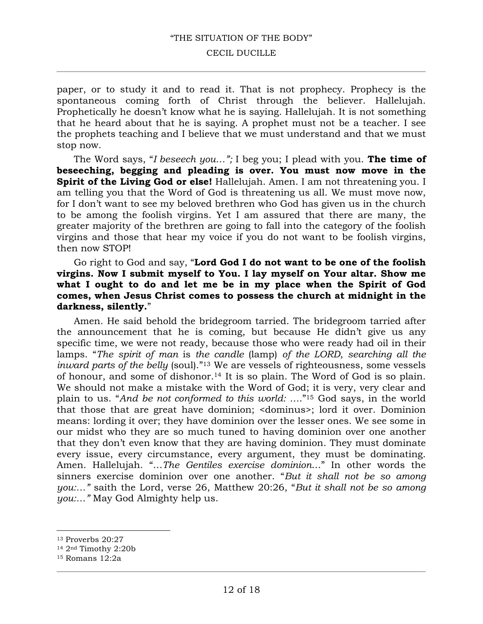#### CECIL DUCILLE

paper, or to study it and to read it. That is not prophecy. Prophecy is the spontaneous coming forth of Christ through the believer. Hallelujah. Prophetically he doesn't know what he is saying. Hallelujah. It is not something that he heard about that he is saying. A prophet must not be a teacher. I see the prophets teaching and I believe that we must understand and that we must stop now.

The Word says, "*I beseech you…";* I beg you; I plead with you. **The time of beseeching, begging and pleading is over. You must now move in the Spirit of the Living God or else!** Hallelujah. Amen. I am not threatening you. I am telling you that the Word of God is threatening us all. We must move now, for I don't want to see my beloved brethren who God has given us in the church to be among the foolish virgins. Yet I am assured that there are many, the greater majority of the brethren are going to fall into the category of the foolish virgins and those that hear my voice if you do not want to be foolish virgins, then now STOP!

## Go right to God and say, "**Lord God I do not want to be one of the foolish virgins. Now I submit myself to You. I lay myself on Your altar. Show me what I ought to do and let me be in my place when the Spirit of God comes, when Jesus Christ comes to possess the church at midnight in the darkness, silently.**"

Amen. He said behold the bridegroom tarried. The bridegroom tarried after the announcement that he is coming, but because He didn't give us any specific time, we were not ready, because those who were ready had oil in their lamps. "*The spirit of man* is *the candle* (lamp) *of the LORD, searching all the inward parts of the belly* (soul)."13 We are vessels of righteousness, some vessels of honour, and some of dishonor.14 It is so plain. The Word of God is so plain. We should not make a mistake with the Word of God; it is very, very clear and plain to us. "*And be not conformed to this world: …*."15 God says, in the world that those that are great have dominion; <dominus>; lord it over. Dominion means: lording it over; they have dominion over the lesser ones. We see some in our midst who they are so much tuned to having dominion over one another that they don't even know that they are having dominion. They must dominate every issue, every circumstance, every argument, they must be dominating. Amen. Hallelujah. "…*The Gentiles exercise dominion*…" In other words the sinners exercise dominion over one another. "*But it shall not be so among you:…"* saith the Lord, verse 26, Matthew 20:26, "*But it shall not be so among you:…"* May God Almighty help us.

<sup>13</sup> Proverbs 20:27

<sup>14</sup> 2nd Timothy 2:20b

<sup>15</sup> Romans 12:2a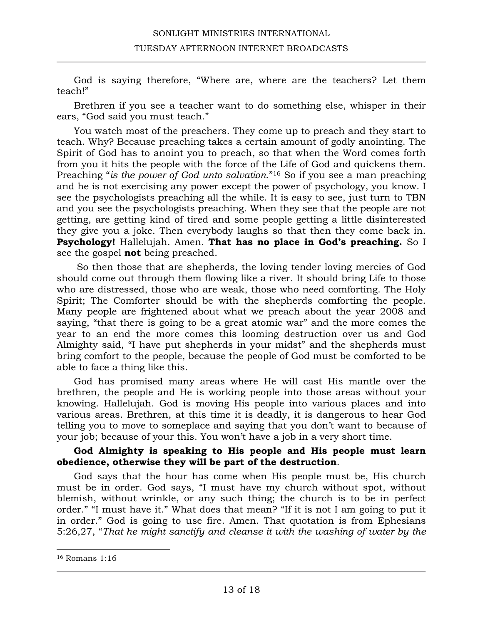God is saying therefore, "Where are, where are the teachers? Let them teach!"

Brethren if you see a teacher want to do something else, whisper in their ears, "God said you must teach."

You watch most of the preachers. They come up to preach and they start to teach. Why? Because preaching takes a certain amount of godly anointing. The Spirit of God has to anoint you to preach, so that when the Word comes forth from you it hits the people with the force of the Life of God and quickens them. Preaching "*is the power of God unto salvation*."16 So if you see a man preaching and he is not exercising any power except the power of psychology, you know. I see the psychologists preaching all the while. It is easy to see, just turn to TBN and you see the psychologists preaching. When they see that the people are not getting, are getting kind of tired and some people getting a little disinterested they give you a joke. Then everybody laughs so that then they come back in. **Psychology!** Hallelujah. Amen. **That has no place in God's preaching.** So I see the gospel **not** being preached.

So then those that are shepherds, the loving tender loving mercies of God should come out through them flowing like a river. It should bring Life to those who are distressed, those who are weak, those who need comforting. The Holy Spirit; The Comforter should be with the shepherds comforting the people. Many people are frightened about what we preach about the year 2008 and saying, "that there is going to be a great atomic war" and the more comes the year to an end the more comes this looming destruction over us and God Almighty said, "I have put shepherds in your midst" and the shepherds must bring comfort to the people, because the people of God must be comforted to be able to face a thing like this.

God has promised many areas where He will cast His mantle over the brethren, the people and He is working people into those areas without your knowing. Hallelujah. God is moving His people into various places and into various areas. Brethren, at this time it is deadly, it is dangerous to hear God telling you to move to someplace and saying that you don't want to because of your job; because of your this. You won't have a job in a very short time.

## **God Almighty is speaking to His people and His people must learn obedience, otherwise they will be part of the destruction**.

God says that the hour has come when His people must be, His church must be in order. God says, "I must have my church without spot, without blemish, without wrinkle, or any such thing; the church is to be in perfect order." "I must have it." What does that mean? "If it is not I am going to put it in order." God is going to use fire. Amen. That quotation is from Ephesians 5:26,27, "*That he might sanctify and cleanse it with the washing of water by the* 

<sup>16</sup> Romans 1:16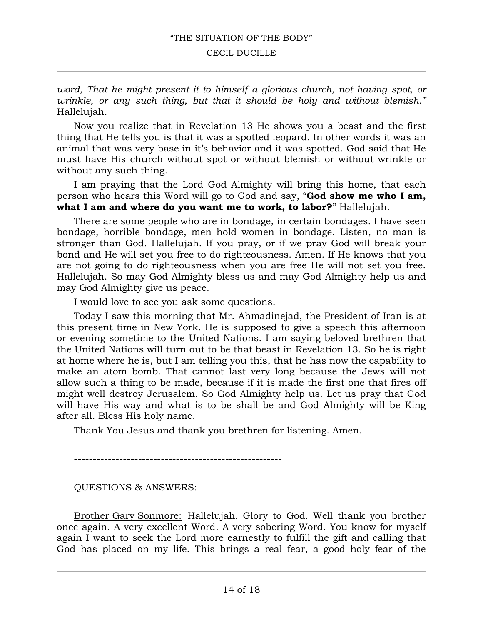#### CECIL DUCILLE

*word, That he might present it to himself a glorious church, not having spot, or wrinkle, or any such thing, but that it should be holy and without blemish."* Hallelujah.

Now you realize that in Revelation 13 He shows you a beast and the first thing that He tells you is that it was a spotted leopard. In other words it was an animal that was very base in it's behavior and it was spotted. God said that He must have His church without spot or without blemish or without wrinkle or without any such thing.

I am praying that the Lord God Almighty will bring this home, that each person who hears this Word will go to God and say, "**God show me who I am, what I am and where do you want me to work, to labor?**" Hallelujah.

There are some people who are in bondage, in certain bondages. I have seen bondage, horrible bondage, men hold women in bondage. Listen, no man is stronger than God. Hallelujah. If you pray, or if we pray God will break your bond and He will set you free to do righteousness. Amen. If He knows that you are not going to do righteousness when you are free He will not set you free. Hallelujah. So may God Almighty bless us and may God Almighty help us and may God Almighty give us peace.

I would love to see you ask some questions.

Today I saw this morning that Mr. Ahmadinejad, the President of Iran is at this present time in New York. He is supposed to give a speech this afternoon or evening sometime to the United Nations. I am saying beloved brethren that the United Nations will turn out to be that beast in Revelation 13. So he is right at home where he is, but I am telling you this, that he has now the capability to make an atom bomb. That cannot last very long because the Jews will not allow such a thing to be made, because if it is made the first one that fires off might well destroy Jerusalem. So God Almighty help us. Let us pray that God will have His way and what is to be shall be and God Almighty will be King after all. Bless His holy name.

Thank You Jesus and thank you brethren for listening. Amen.

-------------------------------------------------------

QUESTIONS & ANSWERS:

Brother Gary Sonmore: Hallelujah. Glory to God. Well thank you brother once again. A very excellent Word. A very sobering Word. You know for myself again I want to seek the Lord more earnestly to fulfill the gift and calling that God has placed on my life. This brings a real fear, a good holy fear of the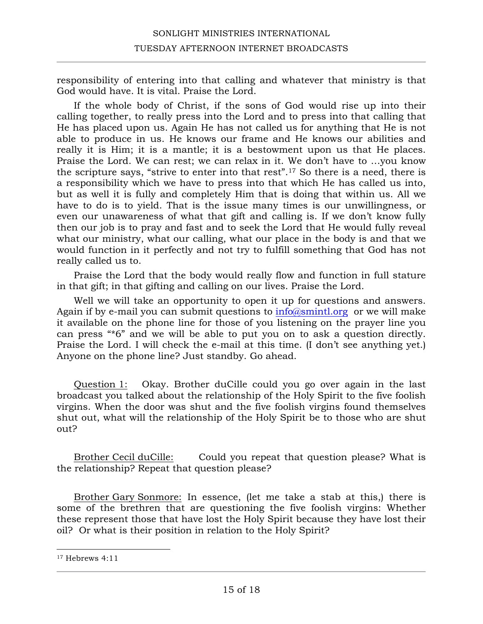responsibility of entering into that calling and whatever that ministry is that God would have. It is vital. Praise the Lord.

If the whole body of Christ, if the sons of God would rise up into their calling together, to really press into the Lord and to press into that calling that He has placed upon us. Again He has not called us for anything that He is not able to produce in us. He knows our frame and He knows our abilities and really it is Him; it is a mantle; it is a bestowment upon us that He places. Praise the Lord. We can rest; we can relax in it. We don't have to …you know the scripture says, "strive to enter into that rest".17 So there is a need, there is a responsibility which we have to press into that which He has called us into, but as well it is fully and completely Him that is doing that within us. All we have to do is to yield. That is the issue many times is our unwillingness, or even our unawareness of what that gift and calling is. If we don't know fully then our job is to pray and fast and to seek the Lord that He would fully reveal what our ministry, what our calling, what our place in the body is and that we would function in it perfectly and not try to fulfill something that God has not really called us to.

Praise the Lord that the body would really flow and function in full stature in that gift; in that gifting and calling on our lives. Praise the Lord.

Well we will take an opportunity to open it up for questions and answers. Again if by e-mail you can submit questions to  $info@smintl.org$  or we will make it available on the phone line for those of you listening on the prayer line you can press "\*6" and we will be able to put you on to ask a question directly. Praise the Lord. I will check the e-mail at this time. (I don't see anything yet.) Anyone on the phone line? Just standby. Go ahead.

Question 1: Okay. Brother duCille could you go over again in the last broadcast you talked about the relationship of the Holy Spirit to the five foolish virgins. When the door was shut and the five foolish virgins found themselves shut out, what will the relationship of the Holy Spirit be to those who are shut out?

Brother Cecil duCille: Could you repeat that question please? What is the relationship? Repeat that question please?

Brother Gary Sonmore: In essence, (let me take a stab at this,) there is some of the brethren that are questioning the five foolish virgins: Whether these represent those that have lost the Holy Spirit because they have lost their oil? Or what is their position in relation to the Holy Spirit?

<sup>17</sup> Hebrews 4:11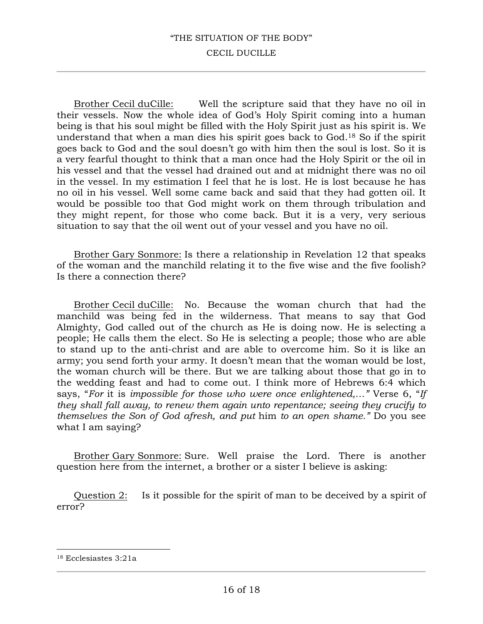#### CECIL DUCILLE

Brother Cecil duCille: Well the scripture said that they have no oil in their vessels. Now the whole idea of God's Holy Spirit coming into a human being is that his soul might be filled with the Holy Spirit just as his spirit is. We understand that when a man dies his spirit goes back to God.18 So if the spirit goes back to God and the soul doesn't go with him then the soul is lost. So it is a very fearful thought to think that a man once had the Holy Spirit or the oil in his vessel and that the vessel had drained out and at midnight there was no oil in the vessel. In my estimation I feel that he is lost. He is lost because he has no oil in his vessel. Well some came back and said that they had gotten oil. It would be possible too that God might work on them through tribulation and they might repent, for those who come back. But it is a very, very serious situation to say that the oil went out of your vessel and you have no oil.

Brother Gary Sonmore: Is there a relationship in Revelation 12 that speaks of the woman and the manchild relating it to the five wise and the five foolish? Is there a connection there?

Brother Cecil duCille: No. Because the woman church that had the manchild was being fed in the wilderness. That means to say that God Almighty, God called out of the church as He is doing now. He is selecting a people; He calls them the elect. So He is selecting a people; those who are able to stand up to the anti-christ and are able to overcome him. So it is like an army; you send forth your army. It doesn't mean that the woman would be lost, the woman church will be there. But we are talking about those that go in to the wedding feast and had to come out. I think more of Hebrews 6:4 which says, "*For* it is *impossible for those who were once enlightened,…"* Verse 6, "*If they shall fall away, to renew them again unto repentance; seeing they crucify to themselves the Son of God afresh, and put* him *to an open shame."* Do you see what I am saying?

Brother Gary Sonmore: Sure. Well praise the Lord. There is another question here from the internet, a brother or a sister I believe is asking:

Question 2: Is it possible for the spirit of man to be deceived by a spirit of error?

<sup>18</sup> Ecclesiastes 3:21a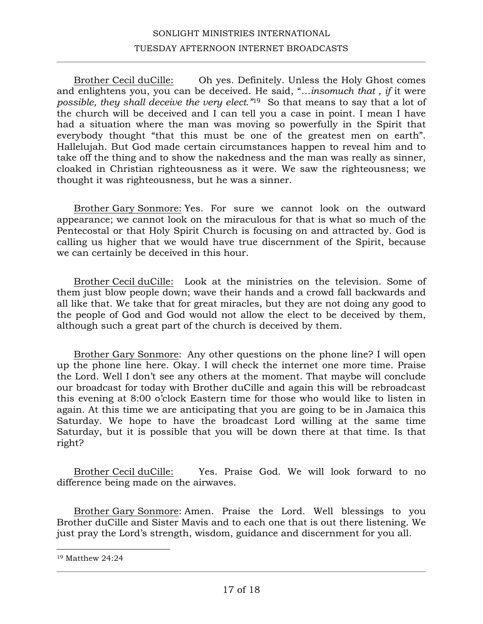Brother Cecil duCille: Oh yes. Definitely. Unless the Holy Ghost comes and enlightens you, you can be deceived. He said, "*…insomuch that , if* it were *possible, they shall deceive the very elect."*<sup>19</sup> So that means to say that a lot of the church will be deceived and I can tell you a case in point. I mean I have had a situation where the man was moving so powerfully in the Spirit that everybody thought "that this must be one of the greatest men on earth". Hallelujah. But God made certain circumstances happen to reveal him and to take off the thing and to show the nakedness and the man was really as sinner, cloaked in Christian righteousness as it were. We saw the righteousness; we thought it was righteousness, but he was a sinner.

Brother Gary Sonmore: Yes. For sure we cannot look on the outward appearance; we cannot look on the miraculous for that is what so much of the Pentecostal or that Holy Spirit Church is focusing on and attracted by. God is calling us higher that we would have true discernment of the Spirit, because we can certainly be deceived in this hour.

Brother Cecil duCille: Look at the ministries on the television. Some of them just blow people down; wave their hands and a crowd fall backwards and all like that. We take that for great miracles, but they are not doing any good to the people of God and God would not allow the elect to be deceived by them, although such a great part of the church is deceived by them.

Brother Gary Sonmore: Any other questions on the phone line? I will open up the phone line here. Okay. I will check the internet one more time. Praise the Lord. Well I don't see any others at the moment. That maybe will conclude our broadcast for today with Brother duCille and again this will be rebroadcast this evening at 8:00 o'clock Eastern time for those who would like to listen in again. At this time we are anticipating that you are going to be in Jamaica this Saturday. We hope to have the broadcast Lord willing at the same time Saturday, but it is possible that you will be down there at that time. Is that right?

Brother Cecil duCille: Yes. Praise God. We will look forward to no difference being made on the airwaves.

Brother Gary Sonmore: Amen. Praise the Lord. Well blessings to you Brother duCille and Sister Mavis and to each one that is out there listening. We just pray the Lord's strength, wisdom, guidance and discernment for you all.

<sup>19</sup> Matthew 24:24